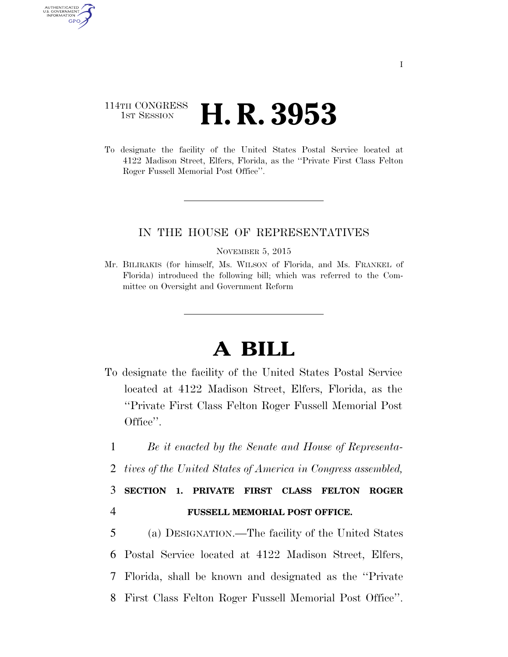## 114TH CONGRESS **1st Session H. R. 3953**

AUTHENTICATED U.S. GOVERNMENT GPO

> To designate the facility of the United States Postal Service located at 4122 Madison Street, Elfers, Florida, as the ''Private First Class Felton Roger Fussell Memorial Post Office''.

## IN THE HOUSE OF REPRESENTATIVES

NOVEMBER 5, 2015

Mr. BILIRAKIS (for himself, Ms. WILSON of Florida, and Ms. FRANKEL of Florida) introduced the following bill; which was referred to the Committee on Oversight and Government Reform

## **A BILL**

- To designate the facility of the United States Postal Service located at 4122 Madison Street, Elfers, Florida, as the ''Private First Class Felton Roger Fussell Memorial Post Office''.
- 1 *Be it enacted by the Senate and House of Representa-*
- 2 *tives of the United States of America in Congress assembled,*

## 3 **SECTION 1. PRIVATE FIRST CLASS FELTON ROGER**  4 **FUSSELL MEMORIAL POST OFFICE.**

 (a) DESIGNATION.—The facility of the United States Postal Service located at 4122 Madison Street, Elfers, Florida, shall be known and designated as the ''Private First Class Felton Roger Fussell Memorial Post Office''.